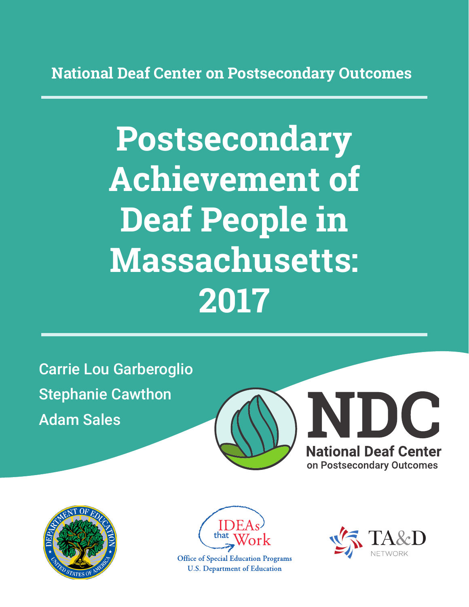**National Deaf Center on Postsecondary Outcomes**

# **Postsecondary Achievement of Deaf People in Massachusetts: 2017**

Carrie Lou Garberoglio Stephanie Cawthon Adam Sales







**Office of Special Education Programs U.S. Department of Education** 

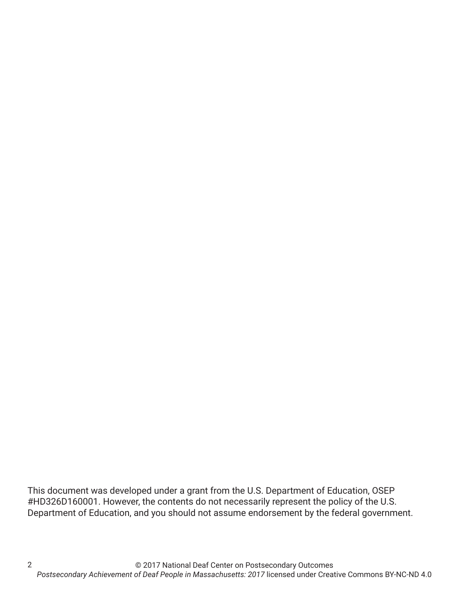This document was developed under a grant from the U.S. Department of Education, OSEP #HD326D160001. However, the contents do not necessarily represent the policy of the U.S. Department of Education, and you should not assume endorsement by the federal government.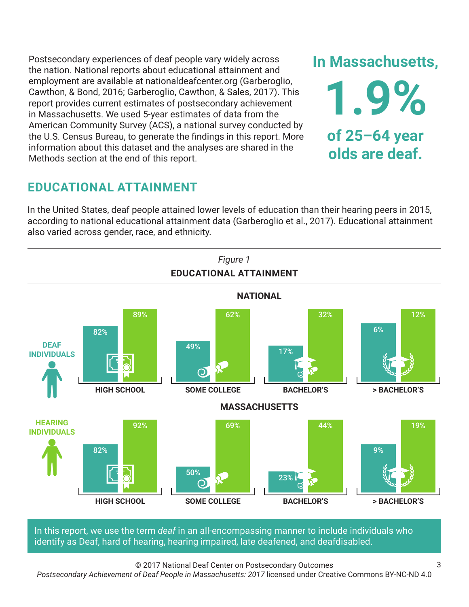Postsecondary experiences of deaf people vary widely across the nation. National reports about educational attainment and employment are available at nationaldeafcenter.org (Garberoglio, Cawthon, & Bond, 2016; Garberoglio, Cawthon, & Sales, 2017). This report provides current estimates of postsecondary achievement in Massachusetts. We used 5-year estimates of data from the American Community Survey (ACS), a national survey conducted by the U.S. Census Bureau, to generate the findings in this report. More information about this dataset and the analyses are shared in the Methods section at the end of this report.

## **EDUCATIONAL ATTAINMENT**

In the United States, deaf people attained lower levels of education than their hearing peers in 2015, according to national educational attainment data (Garberoglio et al., 2017). Educational attainment also varied across gender, race, and ethnicity.



In this report, we use the term *deaf* in an all-encompassing manner to include individuals who identify as Deaf, hard of hearing, hearing impaired, late deafened, and deafdisabled.

© 2017 National Deaf Center on Postsecondary Outcomes

*Postsecondary Achievement of Deaf People in Massachusetts: 2017* licensed under Creative Commons BY-NC-ND 4.0

**In Massachusetts,**

**1.9%**

**of 25–64 year**

**olds are deaf.**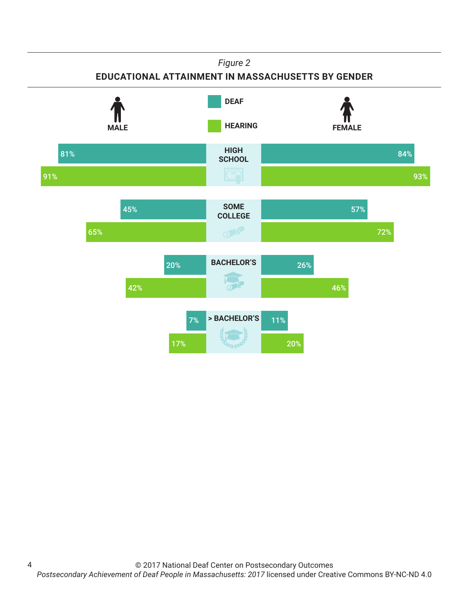## *Figure 2* **EDUCATIONAL ATTAINMENT IN MASSACHUSETTS BY GENDER HIGH SCHOOL HEARING** FEMALE **DEAF** 81% 84%

**SOME COLLEGE** 93%

57%

72%

91%

45%

65%

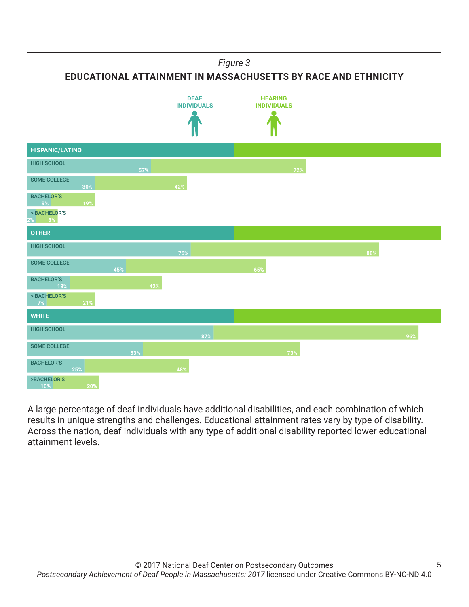*Figure 3*

**EDUCATIONAL ATTAINMENT IN MASSACHUSETTS BY RACE AND ETHNICITY**



A large percentage of deaf individuals have additional disabilities, and each combination of which results in unique strengths and challenges. Educational attainment rates vary by type of disability. Across the nation, deaf individuals with any type of additional disability reported lower educational attainment levels.

5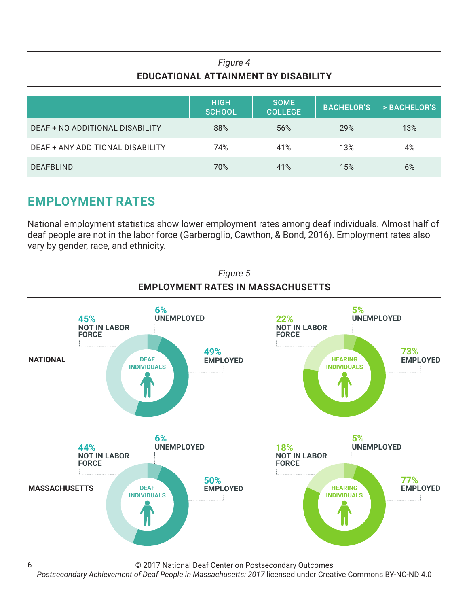## *Figure 4* **EDUCATIONAL ATTAINMENT BY DISABILITY**

|                                  | <b>HIGH</b><br><b>SCHOOL</b> | <b>SOME</b><br><b>COLLEGE</b> | <b>BACHELOR'S</b> | > BACHELOR'S |
|----------------------------------|------------------------------|-------------------------------|-------------------|--------------|
| DEAF + NO ADDITIONAL DISABILITY  | 88%                          | 56%                           | 29%               | 13%          |
| DEAF + ANY ADDITIONAL DISABILITY | 74%                          | 41%                           | 13%               | 4%           |
| <b>DEAFBLIND</b>                 | 70%                          | 41%                           | 15%               | 6%           |

## **EMPLOYMENT RATES**

6

National employment statistics show lower employment rates among deaf individuals. Almost half of deaf people are not in the labor force (Garberoglio, Cawthon, & Bond, 2016). Employment rates also vary by gender, race, and ethnicity.



© 2017 National Deaf Center on Postsecondary Outcomes

*Postsecondary Achievement of Deaf People in Massachusetts: 2017* licensed under Creative Commons BY-NC-ND 4.0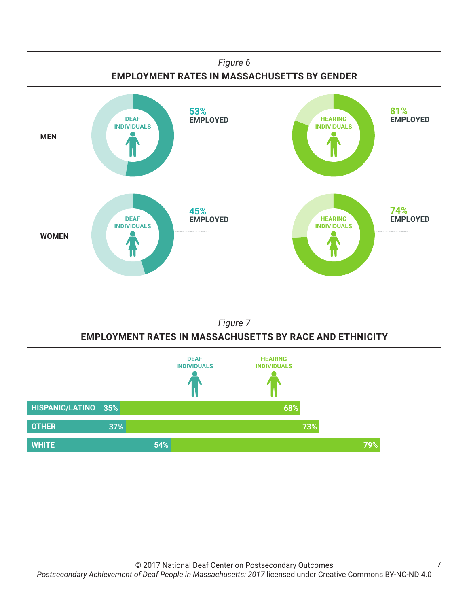





7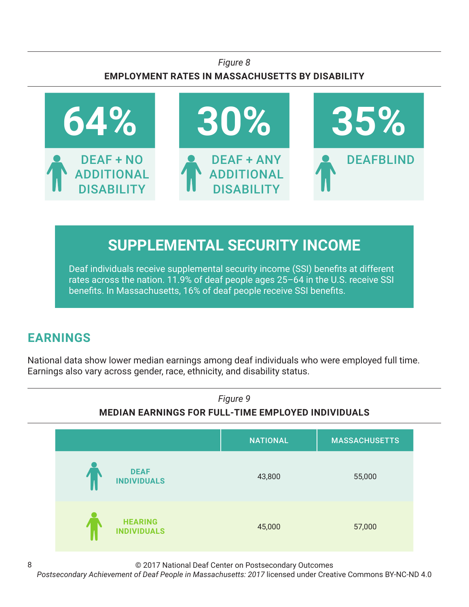## *Figure 8* **EMPLOYMENT RATES IN MASSACHUSETTS BY DISABILITY**



# **SUPPLEMENTAL SECURITY INCOME**

Deaf individuals receive supplemental security income (SSI) benefits at different rates across the nation. 11.9% of deaf people ages 25–64 in the U.S. receive SSI benefits. In Massachusetts, 16% of deaf people receive SSI benefits.

## **EARNINGS**

8

National data show lower median earnings among deaf individuals who were employed full time. Earnings also vary across gender, race, ethnicity, and disability status.



© 2017 National Deaf Center on Postsecondary Outcomes

*Postsecondary Achievement of Deaf People in Massachusetts: 2017* licensed under Creative Commons BY-NC-ND 4.0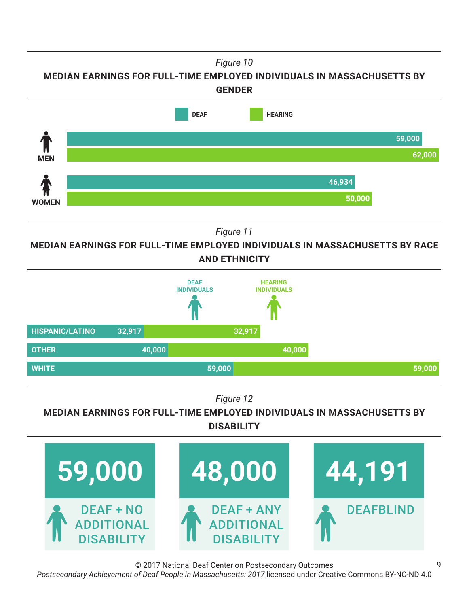*Figure 10*

**MEDIAN EARNINGS FOR FULL-TIME EMPLOYED INDIVIDUALS IN MASSACHUSETTS BY GENDER**



*Figure 11*

**MEDIAN EARNINGS FOR FULL-TIME EMPLOYED INDIVIDUALS IN MASSACHUSETTS BY RACE AND ETHNICITY**



*Figure 12*

**MEDIAN EARNINGS FOR FULL-TIME EMPLOYED INDIVIDUALS IN MASSACHUSETTS BY DISABILITY**



© 2017 National Deaf Center on Postsecondary Outcomes

*Postsecondary Achievement of Deaf People in Massachusetts: 2017* licensed under Creative Commons BY-NC-ND 4.0